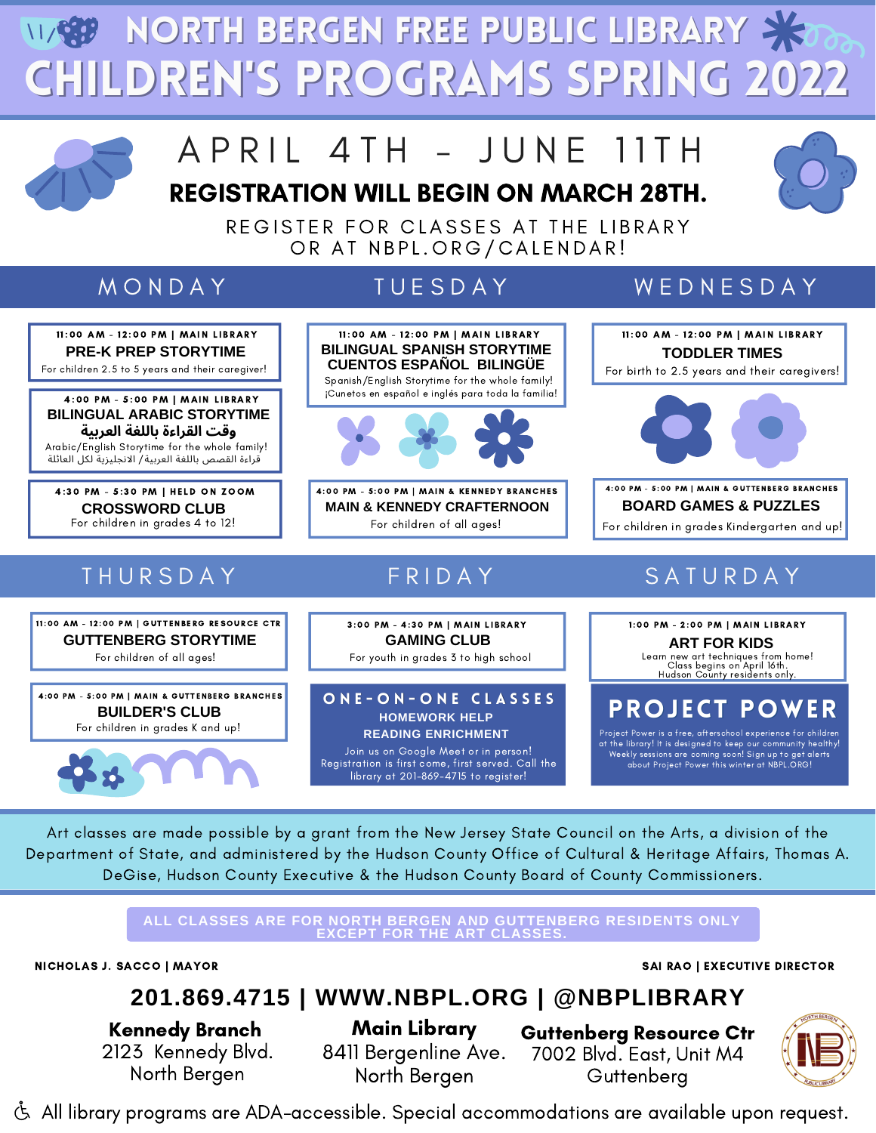Children's Programs Spring 2022 **WGP NORTH BERGEN FREE PUBLIC LIBRARY X** 



# A P R I L 4 T H - J U N E 11 T H

REGISTRATION WILL BEGIN ON MARCH 28TH.



REGISTER FOR CLASSES AT THE LIBRARY OR AT NBPL.ORG/CALENDAR!



Join us on Google Meet or in person! Registration is first come, first served. Call the library at 201-869-4715 to register!

Weekly sessions are coming soon! Sign up to get alerts about Project Power this winter at NBPL.ORG!

Art classes are made possible by a grant from the New Jersey State Council on the Arts, a division of the Department of State, and administered by the Hudson County Office of Cultural & Heritage Affairs, Thomas A. DeGise, Hudson County Executive & the Hudson County Board of County Commissioners.

> **ALL CLASSES ARE FOR NORTH BERGEN AND GUTTENBERG RESIDENTS ONLY EXCEPT FOR THE ART CLASSES.**

NICHOLAS J. SACCO | MAYOR SAI RAO | EXECUTIVE DIRECTOR

### **201.869.4715 | WWW.NBPL.ORG | @NBPLIBRARY**

Kennedy Branch 2123 Kennedy Blvd. North Bergen

Main Library 8411 Bergenline Ave. North Bergen

Guttenberg Resource Ctr 7002 Blvd. East, Unit M4 **Guttenberg** 



All library programs are ADA-accessible. Special accommodations are available upon request.